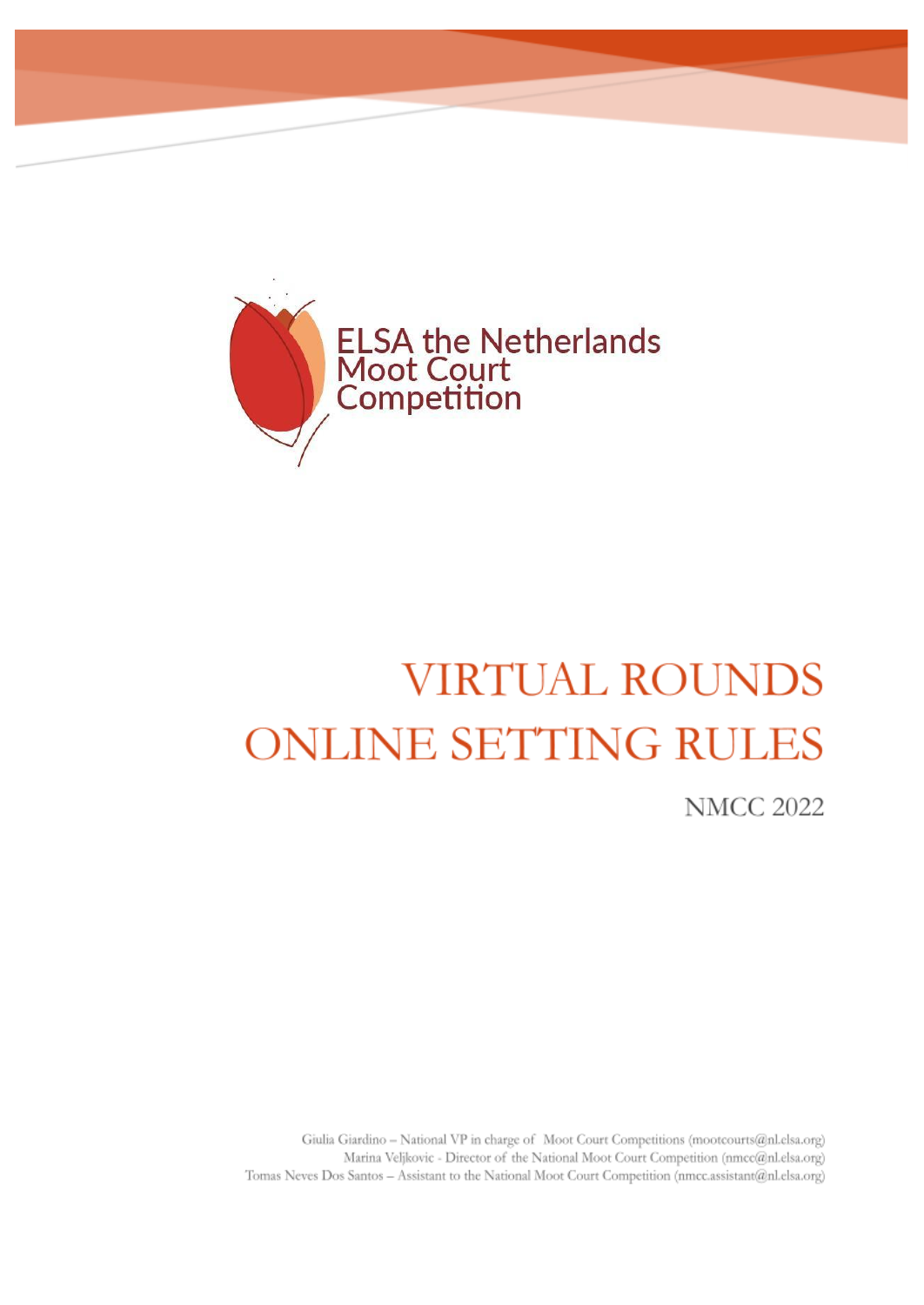

## **VIRTUAL ROUNDS ONLINE SETTING RULES**

**NMCC 2022** 

Giulia Giardino - National VP in charge of Moot Court Competitions (mootcourts@nl.elsa.org) Marina Veljkovic - Director of the National Moot Court Competition (nmcc@nl.elsa.org) Tomas Neves Dos Santos - Assistant to the National Moot Court Competition (nmcc.assistant@nl.elsa.org)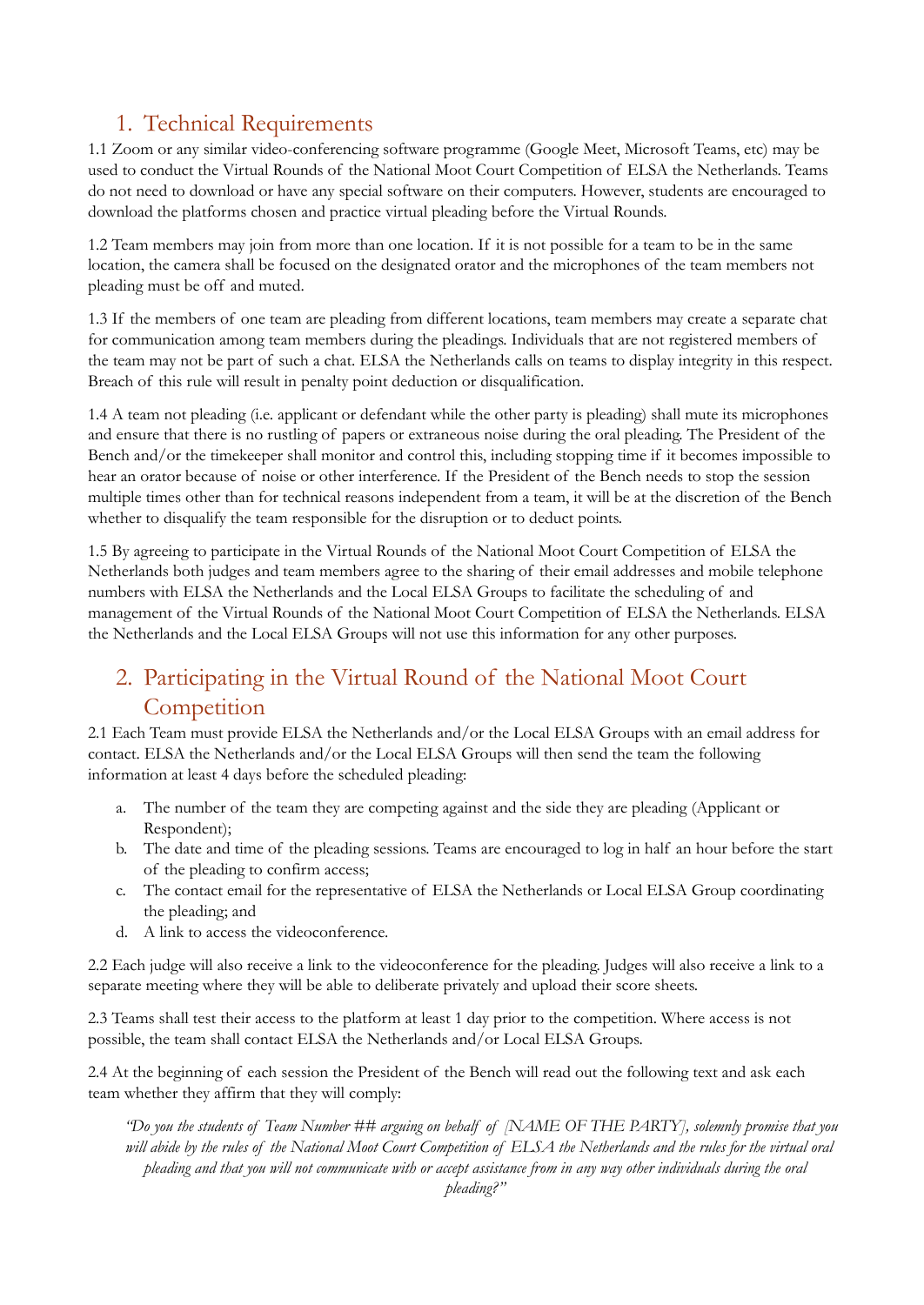## 1. Technical Requirements

1.1 Zoom or any similar video-conferencing software programme (Google Meet, Microsoft Teams, etc) may be used to conduct the Virtual Rounds of the National Moot Court Competition of ELSA the Netherlands. Teams do not need to download or have any special software on their computers. However, students are encouraged to download the platforms chosen and practice virtual pleading before the Virtual Rounds.

1.2 Team members may join from more than one location. If it is not possible for a team to be in the same location, the camera shall be focused on the designated orator and the microphones of the team members not pleading must be off and muted.

1.3 If the members of one team are pleading from different locations, team members may create a separate chat for communication among team members during the pleadings. Individuals that are not registered members of the team may not be part of such a chat. ELSA the Netherlands calls on teams to display integrity in this respect. Breach of this rule will result in penalty point deduction or disqualification.

1.4 A team not pleading (i.e. applicant or defendant while the other party is pleading) shall mute its microphones and ensure that there is no rustling of papers or extraneous noise during the oral pleading. The President of the Bench and/or the timekeeper shall monitor and control this, including stopping time if it becomes impossible to hear an orator because of noise or other interference. If the President of the Bench needs to stop the session multiple times other than for technical reasons independent from a team, it will be at the discretion of the Bench whether to disqualify the team responsible for the disruption or to deduct points.

1.5 By agreeing to participate in the Virtual Rounds of the National Moot Court Competition of ELSA the Netherlands both judges and team members agree to the sharing of their email addresses and mobile telephone numbers with ELSA the Netherlands and the Local ELSA Groups to facilitate the scheduling of and management of the Virtual Rounds of the National Moot Court Competition of ELSA the Netherlands. ELSA the Netherlands and the Local ELSA Groups will not use this information for any other purposes.

## 2. Participating in the Virtual Round of the National Moot Court **Competition**

2.1 Each Team must provide ELSA the Netherlands and/or the Local ELSA Groups with an email address for contact. ELSA the Netherlands and/or the Local ELSA Groups will then send the team the following information at least 4 days before the scheduled pleading:

- a. The number of the team they are competing against and the side they are pleading (Applicant or Respondent);
- b. The date and time of the pleading sessions. Teams are encouraged to log in half an hour before the start of the pleading to confirm access;
- c. The contact email for the representative of ELSA the Netherlands or Local ELSA Group coordinating the pleading; and
- d. A link to access the videoconference.

2.2 Each judge will also receive a link to the videoconference for the pleading. Judges will also receive a link to a separate meeting where they will be able to deliberate privately and upload their score sheets.

2.3 Teams shall test their access to the platform at least 1 day prior to the competition. Where access is not possible, the team shall contact ELSA the Netherlands and/or Local ELSA Groups.

2.4 At the beginning of each session the President of the Bench will read out the following text and ask each team whether they affirm that they will comply:

"Do you the students of Team Number ## arguing on behalf of [NAME OF THE PARTY], solemnly promise that you will abide by the rules of the National Moot Court Competition of ELSA the Netherlands and the rules for the virtual oral pleading and that you will not communicate with or accept assistance from in any way other individuals during the oral *pleading?"*